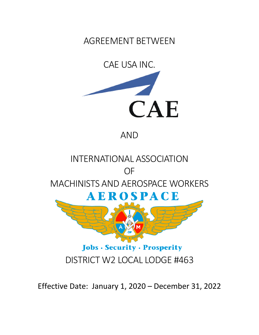AGREEMENT BETWEEN



AND



Effective Date: January 1, 2020 – December 31, 2022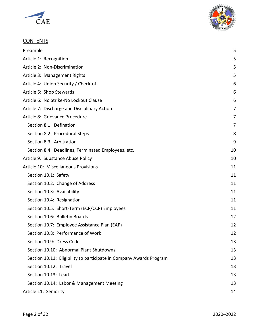



# **CONTENTS**

| Preamble                                                            | 5              |
|---------------------------------------------------------------------|----------------|
| Article 1: Recognition                                              | 5              |
| Article 2: Non-Discrimination                                       | 5              |
| Article 3: Management Rights                                        | 5              |
| Article 4: Union Security / Check-off                               | 6              |
| Article 5: Shop Stewards                                            | 6              |
| Article 6: No Strike-No Lockout Clause                              | 6              |
| Article 7: Discharge and Disciplinary Action                        | $\overline{7}$ |
| Article 8: Grievance Procedure                                      | 7              |
| Section 8.1: Defination                                             | 7              |
| Section 8.2: Procedural Steps                                       | 8              |
| Section 8.3: Arbitration                                            | 9              |
| Section 8.4: Deadlines, Terminated Employees, etc.                  | 10             |
| Article 9: Substance Abuse Policy                                   | 10             |
| Article 10: Miscellaneous Provisions                                | 11             |
| Section 10.1: Safety                                                | 11             |
| Section 10.2: Change of Address                                     | 11             |
| Section 10.3: Availability                                          | 11             |
| Section 10.4: Resignation                                           | 11             |
| Section 10.5: Short-Term (ECP/CCP) Employees                        | 11             |
| Section 10.6: Bulletin Boards                                       | 12             |
| Section 10.7: Employee Assistance Plan (EAP)                        | 12             |
| Section 10.8: Performance of Work                                   | 12             |
| Section 10.9: Dress Code                                            | 13             |
| Section 10.10: Abnormal Plant Shutdowns                             | 13             |
| Section 10.11: Eligibility to participate in Company Awards Program | 13             |
| Section 10.12: Travel                                               | 13             |
| Section 10.13: Lead                                                 | 13             |
| Section 10.14: Labor & Management Meeting                           | 13             |
| Article 11: Seniority                                               | 14             |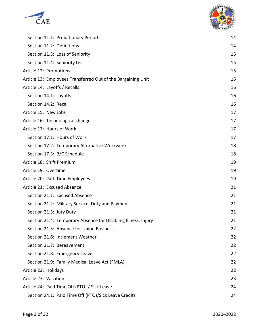



| Section 11.1: Probationary Period                             | 14 |
|---------------------------------------------------------------|----|
| Section 11.2: Definitions                                     | 14 |
| Section 11.3: Loss of Seniority                               | 15 |
| Section 11.4: Seniority List                                  | 15 |
| Article 12: Promotions                                        | 15 |
| Article 13: Employees Transferred Out of the Bargaining Unit  | 16 |
| Article 14: Layoffs / Recalls                                 | 16 |
| Section 14.1: Layoffs                                         | 16 |
| Section 14.2: Recall                                          | 16 |
| Article 15: New Jobs                                          | 17 |
| Article 16: Technological change                              | 17 |
| Article 17: Hours of Work                                     | 17 |
| Section 17.1: Hours of Work                                   | 17 |
| Section 17.2: Temporary Alternative Workweek                  | 18 |
| Section 17.3: B/C Schedule                                    | 18 |
| Article 18: Shift Premium                                     | 19 |
| Article 19: Overtime                                          | 19 |
| Article 20: Part-Time Employees                               | 19 |
| Article 21: Excused Absence                                   | 21 |
| Section 21.1: Excused Absence                                 | 21 |
| Section 21.2: Military Service, Duty and Payment              | 21 |
| Section 21.3: Jury Duty                                       | 21 |
| Section 21.4: Temporary Absence for Disabling Illness, Injury | 21 |
| Section 21.5: Absence for Union Business                      | 22 |
| Section 21.6: Inclement Weather                               | 22 |
| Section 21.7: Bereavement:                                    | 22 |
| Section 21.8: Emergency Leave                                 | 22 |
| Section 21.9: Family Medical Leave Act (FMLA)                 | 22 |
| Article 22: Holidays                                          | 22 |
| Article 23: Vacation                                          | 23 |
| Article 24: Paid Time Off (PTO) / Sick Leave                  | 24 |
| Section 24.1: Paid Time Off (PTO)/Sick Leave Credits          | 24 |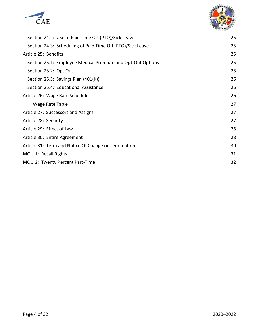



| Section 24.2: Use of Paid Time Off (PTO)/Sick Leave        | 25 |
|------------------------------------------------------------|----|
| Section 24.3: Scheduling of Paid Time Off (PTO)/Sick Leave | 25 |
| Article 25: Benefits                                       | 25 |
| Section 25.1: Employee Medical Premium and Opt-Out Options | 25 |
| Section 25.2: Opt Out                                      | 26 |
| Section 25.3: Savings Plan (401(K))                        | 26 |
| Section 25.4: Educational Assistance                       | 26 |
| Article 26: Wage Rate Schedule                             | 26 |
| Wage Rate Table                                            | 27 |
| Article 27: Successors and Assigns                         | 27 |
| Article 28: Security                                       | 27 |
| Article 29: Effect of Law                                  | 28 |
| Article 30: Entire Agreement                               | 28 |
| Article 31: Term and Notice Of Change or Termination       | 30 |
| MOU 1: Recall Rights                                       | 31 |
| MOU 2: Twenty Percent Part-Time                            | 32 |
|                                                            |    |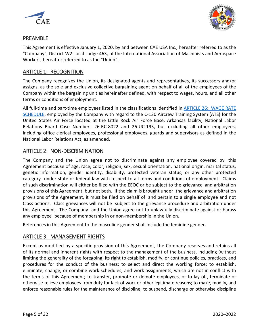



## <span id="page-4-0"></span>PREAMBLE

This Agreement is effective January 1, 2020, by and between CAE USA Inc., hereafter referred to as the "Company", District W2 Local Lodge 463, of the International Association of Machinists and Aerospace Workers, hereafter referred to as the "Union".

## <span id="page-4-1"></span>ARTICLE 1: RECOGNITION

The Company recognizes the Union, its designated agents and representatives, its successors and/or assigns, as the sole and exclusive collective bargaining agent on behalf of all of the employees of the Company within the bargaining unit as hereinafter defined, with respect to wages, hours, and all other terms or conditions of employment.

All full-time and part-time employees listed in the classifications identified in [ARTICLE 26: WAGE RATE](#page-25-3) [SCHEDULE,](#page-25-3) employed by the Company with regard to the C-130 Aircrew Training System (ATS) for the United States Air Force located at the Little Rock Air Force Base, Arkansas facility, National Labor Relations Board Case Numbers 26-RC-8022 and 26-UC-195, but excluding all other employees, including office clerical employees, professional employees, guards and supervisors as defined in the National Labor Relations Act, as amended.

## <span id="page-4-2"></span>ARTICLE 2: NON-DISCRIMINATION

The Company and the Union agree not to discriminate against any employee covered by this Agreement because of age, race, color, religion, sex, sexual orientation, national origin, marital status, genetic information, gender identity, disability, protected veteran status, or any other protected category under state or federal law with respect to all terms and conditions of employment. Claims of such discrimination will either be filed with the EEOC or be subject to the grievance and arbitration provisions of this Agreement, but not both. If the claim is brought under the grievance and arbitration provisions of the Agreement, it must be filed on behalf of and pertain to a single employee and not Class actions. Class grievances will not be subject to the grievance procedure and arbitration under this Agreement. The Company and the Union agree not to unlawfully discriminate against or harass any employee because of membership in or non-membership in the Union.

References in this Agreement to the masculine gender shall include the feminine gender.

## <span id="page-4-3"></span>ARTICLE 3: MANAGEMENT RIGHTS

Except as modified by a specific provision of this Agreement, the Company reserves and retains all of its normal and inherent rights with respect to the management of the business, including (without limiting the generality of the foregoing) its right to establish, modify, or continue policies, practices, and procedures for the conduct of the business; to select and direct the working force; to establish, eliminate, change, or combine work schedules, and work assignments, which are not in conflict with the terms of this Agreement; to transfer, promote or demote employees, or to lay off, terminate or otherwise relieve employees from duty for lack of work or other legitimate reasons; to make, modify, and enforce reasonable rules for the maintenance of discipline; to suspend, discharge or otherwise discipline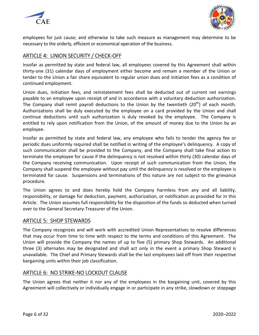



employees for just cause; and otherwise to take such measure as management may determine to be necessary to the orderly, efficient or economical operation of the business.

## <span id="page-5-0"></span>ARTICLE 4: UNION SECURITY / CHECK-OFF

Insofar as permitted by state and federal law, all employees covered by this Agreement shall within thirty-one (31) calendar days of employment either become and remain a member of the Union or tender to the Union a fair share equivalent to regular union dues and initiation fees as a condition of continued employment.

Union dues, initiation fees, and reinstatement fees shall be deducted out of current net earnings payable to an employee upon receipt of and in accordance with a voluntary deduction authorization. The Company shall remit payroll deductions to the Union by the twentieth  $(20<sup>th</sup>)$  of each month. Authorizations shall be duly executed by the employee on a card provided by the Union and shall continue deductions until such authorization is duly revoked by the employee. The Company is entitled to rely upon notification from the Union, of the amount of money due to the Union by an employee.

Insofar as permitted by state and federal law, any employee who fails to tender the agency fee or periodic dues uniformly required shall be notified in writing of the employee's delinquency. A copy of such communication shall be provided to the Company, and the Company shall take final action to terminate the employee for cause if the delinquency is not resolved within thirty (30) calendar days of the Company receiving communication. Upon receipt of such communication from the Union, the Company shall suspend the employee without pay until the delinquency is resolved or the employee is terminated for cause. Suspensions and terminations of this nature are not subject to the grievance procedure.

The Union agrees to and does hereby hold the Company harmless from any and all liability, responsibility, or damage for deduction, payment, authorization, or notification as provided for in this Article. The Union assumes full responsibility for the disposition of the funds so deducted when turned over to the General Secretary-Treasurer of the Union.

## <span id="page-5-1"></span>ARTICLE 5: SHOP STEWARDS

The Company recognizes and will work with accredited Union Representatives to resolve differences that may occur from time to time with respect to the terms and conditions of this Agreement. The Union will provide the Company the names of up to five (5) primary Shop Stewards. An additional three (3) alternates may be designated and shall act only in the event a primary Shop Steward is unavailable. The Chief and Primary Stewards shall be the last employees laid off from their respective bargaining units within their job classification.

## <span id="page-5-2"></span>ARTICLE 6: NO STRIKE-NO LOCKOUT CLAUSE

The Union agrees that neither it nor any of the employees in the bargaining unit, covered by this Agreement will collectively or individually engage in or participate in any strike, slowdown or stoppage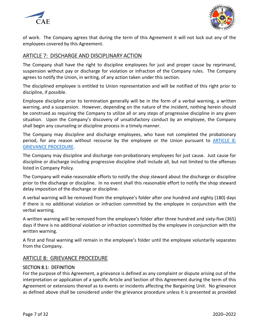



of work. The Company agrees that during the term of this Agreement it will not lock out any of the employees covered by this Agreement.

## <span id="page-6-0"></span>ARTICLE 7: DISCHARGE AND DISCIPLINARY ACTION

The Company shall have the right to discipline employees for just and proper cause by reprimand, suspension without pay or discharge for violation or infraction of the Company rules. The Company agrees to notify the Union, in writing, of any action taken under this section.

The disciplined employee is entitled to Union representation and will be notified of this right prior to discipline, if possible.

Employee discipline prior to termination generally will be in the form of a verbal warning, a written warning, and a suspension. However, depending on the nature of the incident, nothing herein should be construed as requiring the Company to utilize all or any steps of progressive discipline in any given situation. Upon the Company's discovery of unsatisfactory conduct by an employee, the Company shall begin any counseling or discipline process in a timely manner.

The Company may discipline and discharge employees, who have not completed the probationary period, for any reason without recourse by the employee or the Union pursuant to [ARTICLE 8:](#page-6-1)  [GRIEVANCE PROCEDURE.](#page-6-1)

The Company may discipline and discharge non-probationary employees for just cause. Just cause for discipline or discharge including progressive discipline shall include all, but not limited to the offenses listed in Company Policy.

The Company will make reasonable efforts to notify the shop steward about the discharge or discipline prior to the discharge or discipline. In no event shall this reasonable effort to notify the shop steward delay imposition of the discharge or discipline.

A verbal warning will be removed from the employee's folder after one hundred and eighty (180) days if there is no additional violation or infraction committed by the employee in conjunction with the verbal warning.

A written warning will be removed from the employee's folder after three hundred and sixty-five (365) days if there is no additional violation or infraction committed by the employee in conjunction with the written warning.

A first and final warning will remain in the employee's folder until the employee voluntarily separates from the Company.

## <span id="page-6-1"></span>ARTICLE 8: GRIEVANCE PROCEDURE

## <span id="page-6-2"></span>SECTION 8.1: DEFINITION

For the purpose of this Agreement, a grievance is defined as any complaint or dispute arising out of the interpretation or application of a specific Article and Section of this Agreement during the term of this Agreement or extensions thereof as to events or incidents affecting the Bargaining Unit. No grievance as defined above shall be considered under the grievance procedure unless it is presented as provided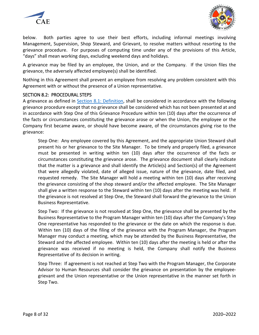



below. Both parties agree to use their best efforts, including informal meetings involving Management, Supervision, Shop Steward, and Grievant, to resolve matters without resorting to the grievance procedure. For purposes of computing time under any of the provisions of this Article, "days" shall mean working days, excluding weekend days and holidays.

A grievance may be filed by an employee, the Union, and or the Company. If the Union files the grievance, the adversely affected employee(s) shall be identified.

Nothing in this Agreement shall prevent an employee from resolving any problem consistent with this Agreement with or without the presence of a Union representative.

### <span id="page-7-0"></span>SECTION 8.2: PROCEDURAL STEPS

A grievance as defined in [Section 8.1: Definition,](#page-6-2) shall be considered in accordance with the following grievance procedure except that no grievance shall be considered which has not been presented at and in accordance with Step One of this Grievance Procedure within ten (10) days after the occurrence of the facts or circumstances constituting the grievance arose or when the Union, the employee or the Company first became aware, or should have become aware, of the circumstances giving rise to the grievance:

Step One: Any employee covered by this Agreement, and the appropriate Union Steward shall present his or her grievance to the Site Manager. To be timely and properly filed, a grievance must be presented in writing within ten (10) days after the occurrence of the facts or circumstances constituting the grievance arose. The grievance document shall clearly indicate that the matter is a grievance and shall identify the Article(s) and Section(s) of the Agreement that were allegedly violated, date of alleged issue, nature of the grievance, date filed, and requested remedy. The Site Manager will hold a meeting within ten (10) days after receiving the grievance consisting of the shop steward and/or the affected employee. The Site Manager shall give a written response to the Steward within ten (10) days after the meeting was held. If the grievance is not resolved at Step One, the Steward shall forward the grievance to the Union Business Representative.

Step Two: If the grievance is not resolved at Step One, the grievance shall be presented by the Business Representative to the Program Manager within ten (10) days after the Company's Step One representative has responded to the grievance or the date on which the response is due. Within ten (10) days of the filing of the grievance with the Program Manager, the Program Manager may conduct a meeting, which may be attended by the Business Representative, the Steward and the affected employee. Within ten (10) days after the meeting is held or after the grievance was received if no meeting is held, the Company shall notify the Business Representative of its decision in writing.

Step Three: If agreement is not reached at Step Two with the Program Manager, the Corporate Advisor to Human Resources shall consider the grievance on presentation by the employeegrievant and the Union representative or the Union representative in the manner set forth in Step Two.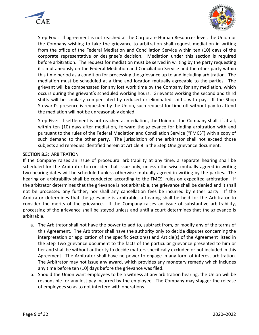



Step Four: If agreement is not reached at the Corporate Human Resources level, the Union or the Company wishing to take the grievance to arbitration shall request mediation in writing from the office of the Federal Mediation and Conciliation Service within ten (10) days of the corporate representative or designee's decision. Mediation under this section is required before arbitration. The request for mediation must be served in writing by the party requesting it simultaneously on the Federal Mediation and Conciliation Service and the other party within this time period as a condition for processing the grievance up to and including arbitration. The mediation must be scheduled at a time and location mutually agreeable to the parties. The grievant will be compensated for any lost work time by the Company for any mediation, which occurs during the grievant's scheduled working hours. Grievants working the second and third shifts will be similarly compensated by reduced or eliminated shifts, with pay. If the Shop Steward's presence is requested by the Union, such request for time off without pay to attend the mediation will not be unreasonably denied.

Step Five: If settlement is not reached at mediation, the Union or the Company shall, if at all, within ten (10) days after mediation, forward the grievance for binding arbitration with and pursuant to the rules of the Federal Mediation and Conciliation Service ("FMCS") with a copy of such demand to the other party. The jurisdiction of the arbitrator shall not exceed those subjects and remedies identified herein at Article 8 in the Step One grievance document.

#### <span id="page-8-0"></span>SECTION 8.3: ARBITRATION

If the Company raises an issue of procedural arbitrability at any time, a separate hearing shall be scheduled for the Arbitrator to consider that issue only, unless otherwise mutually agreed in writing two hearing dates will be scheduled unless otherwise mutually agreed in writing by the parties. The hearing on arbitrability shall be conducted according to the FMCS' rules on expedited arbitration. If the arbitrator determines that the grievance is not arbitrable, the grievance shall be denied and it shall not be processed any further, nor shall any cancellation fees be incurred by either party. If the Arbitrator determines that the grievance is arbitrable, a hearing shall be held for the Arbitrator to consider the merits of the grievance. If the Company raises an issue of substantive arbitrability, processing of the grievance shall be stayed unless and until a court determines that the grievance is arbitrable.

- a. The Arbitrator shall not have the power to add to, subtract from, or modify any of the terms of this Agreement. The Arbitrator shall have the authority only to decide disputes concerning the interpretation or application of the specific Section(s) and Article(s) of the Agreement listed in the Step Two grievance document to the facts of the particular grievance presented to him or her and shall be without authority to decide matters specifically excluded or not included in this Agreement. The Arbitrator shall have no power to engage in any form of interest arbitration. The Arbitrator may not issue any award, which provides any monetary remedy which includes any time before ten (10) days before the grievance was filed.
- b. Should the Union want employees to be a witness at any arbitration hearing, the Union will be responsible for any lost pay incurred by the employee. The Company may stagger the release of employees so as to not interfere with operations.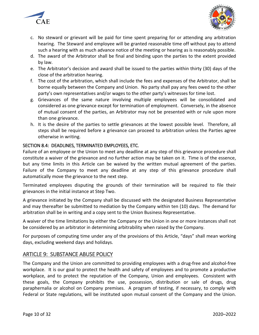



- c. No steward or grievant will be paid for time spent preparing for or attending any arbitration hearing. The Steward and employee will be granted reasonable time off without pay to attend such a hearing with as much advance notice of the meeting or hearing as is reasonably possible.
- d. The award of the Arbitrator shall be final and binding upon the parties to the extent provided by law.
- e. The Arbitrator's decision and award shall be issued to the parties within thirty (30) days of the close of the arbitration hearing.
- f. The cost of the arbitration, which shall include the fees and expenses of the Arbitrator, shall be borne equally between the Company and Union. No party shall pay any fees owed to the other party's own representatives and/or wages to the other party's witnesses for time lost.
- g. Grievances of the same nature involving multiple employees will be consolidated and considered as one grievance except for termination of employment. Conversely, in the absence of mutual consent of the parties, an Arbitrator may not be presented with or rule upon more than one grievance.
- h. It is the desire of the parties to settle grievances at the lowest possible level. Therefore, all steps shall be required before a grievance can proceed to arbitration unless the Parties agree otherwise in writing.

## <span id="page-9-0"></span>SECTION 8.4: DEADLINES, TERMINATED EMPLOYEES, ETC.

Failure of an employee or the Union to meet any deadline at any step of this grievance procedure shall constitute a waiver of the grievance and no further action may be taken on it. Time is of the essence, but any time limits in this Article can be waived by the written mutual agreement of the parties. Failure of the Company to meet any deadline at any step of this grievance procedure shall automatically move the grievance to the next step.

Terminated employees disputing the grounds of their termination will be required to file their grievances in the initial instance at Step Two.

A grievance initiated by the Company shall be discussed with the designated Business Representative and may thereafter be submitted to mediation by the Company within ten (10) days. The demand for arbitration shall be in writing and a copy sent to the Union Business Representative.

A waiver of the time limitations by either the Company or the Union in one or more instances shall not be considered by an arbitrator in determining arbitrability when raised by the Company.

For purposes of computing time under any of the provisions of this Article, "days" shall mean working days, excluding weekend days and holidays.

## <span id="page-9-1"></span>ARTICLE 9: SUBSTANCE ABUSE POLICY

The Company and the Union are committed to providing employees with a drug-free and alcohol-free workplace. It is our goal to protect the health and safety of employees and to promote a productive workplace, and to protect the reputation of the Company, Union and employees. Consistent with these goals, the Company prohibits the use, possession, distribution or sale of drugs, drug paraphernalia or alcohol on Company premises. A program of testing, if necessary, to comply with Federal or State regulations, will be instituted upon mutual consent of the Company and the Union.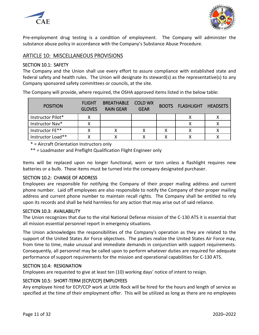



Pre-employment drug testing is a condition of employment. The Company will administer the substance abuse policy in accordance with the Company's Substance Abuse Procedure.

## <span id="page-10-0"></span>ARTICLE 10: MISCELLANEOUS PROVISIONS

### <span id="page-10-1"></span>SECTION 10.1: SAFETY

The Company and the Union shall use every effort to assure compliance with established state and federal safety and health rules. The Union will designate its steward(s) as the representative(s) to any Company sponsored safety committees or councils, at the site.

The Company will provide, where required, the OSHA approved items listed in the below table:

| <b>POSITION</b>   | <b>FLIGHT</b><br><b>GLOVES</b> | BREATHABLE COLD WX<br><b>RAIN GEAR</b> | <b>GEAR</b> | <b>BOOTS FLASHLIGHT HEADSETS</b> |  |
|-------------------|--------------------------------|----------------------------------------|-------------|----------------------------------|--|
| Instructor Pilot* |                                |                                        |             |                                  |  |
| Instructor Nav*   |                                |                                        |             |                                  |  |
| Instructor FE**   |                                |                                        |             |                                  |  |
| Instructor Load** |                                |                                        |             |                                  |  |

\* = Aircraft Orientation Instructors only

\*\* = Loadmaster and Preflight Qualification Flight Engineer only

Items will be replaced upon no longer functional, worn or torn unless a flashlight requires new batteries or a bulb. These items must be turned into the company designated purchaser.

### <span id="page-10-2"></span>SECTION 10.2: CHANGE OF ADDRESS

Employees are responsible for notifying the Company of their proper mailing address and current phone number. Laid off employees are also responsible to notify the Company of their proper mailing address and current phone number to maintain recall rights. The Company shall be entitled to rely upon its records and shall be held harmless for any action that may arise out of said reliance.

### <span id="page-10-3"></span>SECTION 10.3: AVAILABILITY

The Union recognizes that due to the vital National Defense mission of the C-130 ATS it is essential that all mission essential personnel report in emergency situations.

The Union acknowledges the responsibilities of the Company's operation as they are related to the support of the United States Air Force objectives. The parties realize the United States Air Force may, from time to time, make unusual and immediate demands in conjunction with support requirements. Consequently, all personnel may be called upon to perform whatever duties are required for adequate performance of support requirements for the mission and operational capabilities for C-130 ATS.

### <span id="page-10-4"></span>SECTION 10.4: RESIGNATION

Employees are requested to give at least ten (10) working days' notice of intent to resign.

## <span id="page-10-5"></span>SECTION 10.5: SHORT-TERM (ECP/CCP) EMPLOYEES

Any employee hired for ECP/CCP work at Little Rock will be hired for the hours and length of service as specified at the time of their employment offer. This will be utilized as long as there are no employees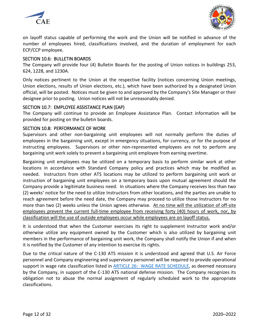



on layoff status capable of performing the work and the Union will be notified in advance of the number of employees hired, classifications involved, and the duration of employment for each ECP/CCP employee.

### <span id="page-11-0"></span>SECTION 10.6: BULLETIN BOARDS

The Company will provide four (4) Bulletin Boards for the posting of Union notices in buildings 253, 624, 1228, and 1230A.

Only notices pertinent to the Union at the respective facility (notices concerning Union meetings, Union elections, results of Union elections, etc.), which have been authorized by a designated Union official, will be posted. Notices must be given to and approved by the Company's Site Manager or their designee prior to posting. Union notices will not be unreasonably denied.

### <span id="page-11-1"></span>SECTION 10.7: EMPLOYEE ASSISTANCE PLAN (EAP)

The Company will continue to provide an Employee Assistance Plan. Contact information will be provided for posting on the bulletin boards.

### <span id="page-11-2"></span>SECTION 10.8: PERFORMANCE OF WORK

Supervisors and other non-bargaining unit employees will not normally perform the duties of employees in the bargaining unit, except in emergency situations, for currency, or for the purpose of instructing employees. Supervisors or other non-represented employees are not to perform any bargaining unit work solely to prevent a bargaining unit employee from earning overtime.

Bargaining unit employees may be utilized on a temporary basis to perform similar work at other locations in accordance with Standard Company policy and practices which may be modified as needed. Instructors from other ATS locations may be utilized to perform bargaining unit work or instruction of bargaining unit employees on a temporary basis upon mutual agreement should the Company provide a legitimate business need. In situations where the Company receives less than two (2) weeks' notice for the need to utilize Instructors from other locations, and the parties are unable to reach agreement before the need date, the Company may proceed to utilize those Instructors for no more than two (2) weeks unless the Union agrees otherwise. At no time will the utilization of off-site employees prevent the current full-time employee from receiving forty (40) hours of work, nor, by classification will the use of outside employees occur while employees are on layoff status.

It is understood that when the Customer exercises its right to supplement Instructor work and/or otherwise utilize any equipment owned by the Customer which is also utilized by bargaining unit members in the performance of bargaining unit work, the Company shall notify the Union if and when it is notified by the Customer of any intention to exercise its rights.

Due to the critical nature of the C-130 ATS mission it is understood and agreed that U.S. Air Force personnel and Company engineering and supervisory personnel will be required to provide operational support in wage rate classification listed in [ARTICLE 26: WAGE RATE SCHEDULE,](#page-25-3) as deemed necessary by the Company, in support of the C-130 ATS national defense mission. The Company recognizes its obligation not to abuse the normal assignment of regularly scheduled work to the appropriate classifications.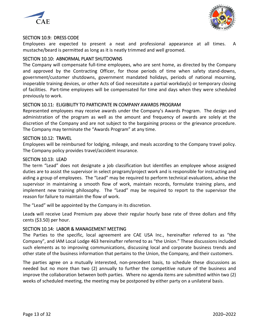



### <span id="page-12-0"></span>SECTION 10.9: DRESS CODE

Employees are expected to present a neat and professional appearance at all times. A mustache/beard is permitted as long as it is neatly trimmed and well groomed.

### <span id="page-12-1"></span>SECTION 10.10: ABNORMAL PLANT SHUTDOWNS

The Company will compensate full-time employees, who are sent home, as directed by the Company and approved by the Contracting Officer, for those periods of time when safety stand-downs, government/customer shutdowns, government mandated holidays, periods of national mourning, inoperable training devices, or other Acts of God necessitate a partial workday(s) or temporary closing of facilities. Part-time employees will be compensated for time and days when they were scheduled previously to work.

## <span id="page-12-2"></span>SECTION 10.11: ELIGIBILITY TO PARTICIPATE IN COMPANY AWARDS PROGRAM

Represented employees may receive awards under the Company's Awards Program. The design and administration of the program as well as the amount and frequency of awards are solely at the discretion of the Company and are not subject to the bargaining process or the grievance procedure. The Company may terminate the "Awards Program" at any time.

### <span id="page-12-3"></span>SECTION 10.12: TRAVEL

Employees will be reimbursed for lodging, mileage, and meals according to the Company travel policy. The Company policy provides travel/accident insurance.

### <span id="page-12-4"></span>SECTION 10.13: LEAD

The term "Lead" does not designate a job classification but identifies an employee whose assigned duties are to assist the supervisor in select program/project work and is responsible for instructing and aiding a group of employees. The "Lead" may be required to perform technical evaluations, advise the supervisor in maintaining a smooth flow of work, maintain records, formulate training plans, and implement new training philosophy. The "Lead" may be required to report to the supervisor the reason for failure to maintain the flow of work.

The "Lead" will be appointed by the Company in its discretion.

Lead**s** will receive Lead Premium pay above their regular hourly base rate of three dollars and fifty cents (\$3.50) per hour.

### <span id="page-12-5"></span>SECTION 10.14: LABOR & MANAGEMENT MEETING

The Parties to the specific, local agreement are CAE USA Inc., hereinafter referred to as "the Company", and IAM Local Lodge 463 hereinafter referred to as "the Union." These discussions included such elements as to improving communications, discussing local and corporate business trends and other state of the business information that pertains to the Union, the Company, and their customers.

The parties agree on a mutually interested, non-precedent basis, to schedule these discussions as needed but no more than two (2) annually to further the competitive nature of the business and improve the collaboration between both parties. Where no agenda items are submitted within two (2) weeks of scheduled meeting, the meeting may be postponed by either party on a unilateral basis.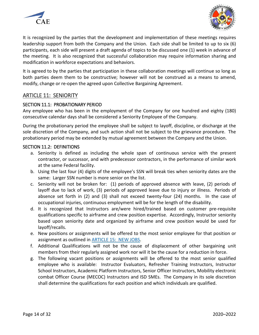



It is recognized by the parties that the development and implementation of these meetings requires leadership support from both the Company and the Union. Each side shall be limited to up to six (6) participants, each side will present a draft agenda of topics to be discussed one (1) week in advance of the meeting. It is also recognized that successful collaboration may require information sharing and modification in workforce expectations and behaviors.

It is agreed to by the parties that participation in these collaboration meetings will continue so long as both parties deem them to be constructive; however will not be construed as a means to amend, modify, change or re-open the agreed upon Collective Bargaining Agreement.

## <span id="page-13-0"></span>ARTICLE 11: SENIORITY

### <span id="page-13-1"></span>SECTION 11.1: PROBATIONARY PERIOD

Any employee who has been in the employment of the Company for one hundred and eighty (180) consecutive calendar days shall be considered a Seniority Employee of the Company.

During the probationary period the employee shall be subject to layoff, discipline, or discharge at the sole discretion of the Company, and such action shall not be subject to the grievance procedure. The probationary period may be extended by mutual agreement between the Company and the Union.

### <span id="page-13-2"></span>SECTION 11.2: DEFINITIONS

- a. Seniority is defined as including the whole span of continuous service with the present contractor, or successor, and with predecessor contractors, in the performance of similar work at the same Federal facility.
- b. Using the last four (4) digits of the employee's SSN will break ties when seniority dates are the same: Larger SSN number is more senior on the list.
- c. Seniority will not be broken for: (1) periods of approved absence with leave, (2) periods of layoff due to lack of work, (3) periods of approved leave due to injury or illness. Periods of absence set forth in (2) and (3) shall not exceed twenty-four (24) months. In the case of occupational injuries, continuous employment will be for the length of the disability.
- d. It is recognized that Instructors are/were hired/trained based on customer pre-requisite qualifications specific to airframe and crew position expertise. Accordingly, Instructor seniority based upon seniority date and organized by airframe and crew position would be used for layoff/recalls.
- e. New positions or assignments will be offered to the most senior employee for that position or assignment as outlined in **ARTICLE 15: NEW JOBS.**
- f. Additional Qualifications will not be the cause of displacement of other bargaining unit members from their regularly assigned work nor will it be the cause for a reduction in force.
- g. The following vacant positions or assignments will be offered to the most senior qualified employee who is available: Instructor Evaluators, Refresher Training Instructors, Instructor School Instructors, Academic Platform Instructors, Senior Officer Instructors, Mobility electronic combat Officer Course (MECOC) Instructors and ISD SMEs. The Company in its sole discretion shall determine the qualifications for each position and which individuals are qualified.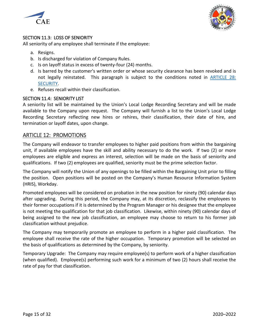



## <span id="page-14-0"></span>SECTION 11.3: LOSS OF SENIORITY

All seniority of any employee shall terminate if the employee:

- a. Resigns.
- b. Is discharged for violation of Company Rules.
- c. Is on layoff status in excess of twenty-four (24) months.
- d. Is barred by the customer's written order or whose security clearance has been revoked and is not legally reinstated. This paragraph is subject to the conditions noted in [ARTICLE 28:](#page-26-2)  [SECURITY.](#page-26-2)
- e. Refuses recall within their classification.

## <span id="page-14-1"></span>SECTION 11.4: SENIORITY LIST

A seniority list will be maintained by the Union's Local Lodge Recording Secretary and will be made available to the Company upon request. The Company will furnish a list to the Union's Local Lodge Recording Secretary reflecting new hires or rehires, their classification, their date of hire, and termination or layoff dates, upon change.

## <span id="page-14-2"></span>ARTICLE 12: PROMOTIONS

The Company will endeavor to transfer employees to higher paid positions from within the bargaining unit, if available employees have the skill and ability necessary to do the work. If two (2) or more employees are eligible and express an interest, selection will be made on the basis of seniority and qualifications. If two (2) employees are qualified, seniority must be the prime selection factor.

The Company will notify the Union of any openings to be filled within the Bargaining Unit prior to filling the position. Open positions will be posted on the Company's Human Resource Information System (HRIS), Workday.

Promoted employees will be considered on probation in the new position for ninety (90) calendar days after upgrading. During this period, the Company may, at its discretion, reclassify the employees to their former occupations if it is determined by the Program Manager or his designee that the employee is not meeting the qualification for that job classification. Likewise, within ninety (90) calendar days of being assigned to the new job classification, an employee may choose to return to his former job classification without prejudice.

The Company may temporarily promote an employee to perform in a higher paid classification. The employee shall receive the rate of the higher occupation. Temporary promotion will be selected on the basis of qualifications as determined by the Company, by seniority.

Temporary Upgrade: The Company may require employee(s) to perform work of a higher classification (when qualified). Employee(s) performing such work for a minimum of two (2) hours shall receive the rate of pay for that classification.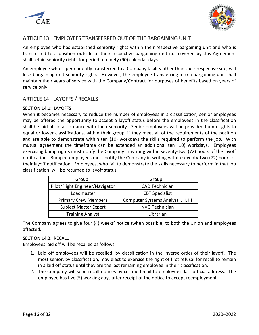



## <span id="page-15-0"></span>ARTICLE 13: EMPLOYEES TRANSFERRED OUT OF THE BARGAINING UNIT

An employee who has established seniority rights within their respective bargaining unit and who is transferred to a position outside of their respective bargaining unit not covered by this Agreement shall retain seniority rights for period of ninety (90) calendar days.

An employee who is permanently transferred to a Company facility other than their respective site, will lose bargaining unit seniority rights. However, the employee transferring into a bargaining unit shall maintain their years of service with the Company/Contract for purposes of benefits based on years of service only.

## <span id="page-15-1"></span>ARTICLE 14: LAYOFFS / RECALLS

### <span id="page-15-2"></span>SECTION 14.1: LAYOFFS

When it becomes necessary to reduce the number of employees in a classification, senior employees may be offered the opportunity to accept a layoff status before the employees in the classification shall be laid off in accordance with their seniority. Senior employees will be provided bump rights to equal or lower classifications, within their group, if they meet all of the requirements of the position and are able to demonstrate within ten (10) workdays the skills required to perform the job. With mutual agreement the timeframe can be extended an additional ten (10) workdays. Employees exercising bump rights must notify the Company in writing within seventy-two (72) hours of the layoff notification. Bumped employees must notify the Company in writing within seventy-two (72) hours of their layoff notification. Employees, who fail to demonstrate the skills necessary to perform in that job classification, will be returned to layoff status.

| Group I                         | Group II                            |  |
|---------------------------------|-------------------------------------|--|
| Pilot/Flight Engineer/Navigator | <b>CAD Technician</b>               |  |
| Loadmaster                      | <b>CBT Specialist</b>               |  |
| <b>Primary Crew Members</b>     | Computer Systems Analyst I, II, III |  |
| <b>Subject Matter Expert</b>    | <b>NVG Technician</b>               |  |
| <b>Training Analyst</b>         | Librarian                           |  |

The Company agrees to give four (4) weeks' notice (when possible) to both the Union and employees affected.

### <span id="page-15-3"></span>SECTION 14.2: RECALL

Employees laid off will be recalled as follows:

- 1. Laid off employees will be recalled, by classification in the inverse order of their layoff. The most senior, by classification, may elect to exercise the right of first refusal for recall to remain in a laid off status until they are the last remaining employee in their classification.
- 2. The Company will send recall notices by certified mail to employee's last official address. The employee has five (5) working days after receipt of the notice to accept reemployment.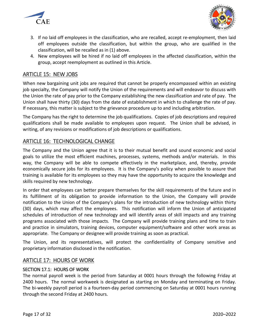



- 3. If no laid off employees in the classification, who are recalled, accept re-employment, then laid off employees outside the classification, but within the group, who are qualified in the classification, will be recalled as in (1) above.
- 4. New employees will be hired if no laid off employees in the affected classification, within the group, accept reemployment as outlined in this Article.

## <span id="page-16-0"></span>ARTICLE 15: NEW JOBS

When new bargaining unit jobs are required that cannot be properly encompassed within an existing job specialty, the Company will notify the Union of the requirements and will endeavor to discuss with the Union the rate of pay prior to the Company establishing the new classification and rate of pay. The Union shall have thirty (30) days from the date of establishment in which to challenge the rate of pay. If necessary, this matter is subject to the grievance procedure up to and including arbitration.

The Company has the right to determine the job qualifications. Copies of job descriptions and required qualifications shall be made available to employees upon request. The Union shall be advised, in writing, of any revisions or modifications of job descriptions or qualifications.

## <span id="page-16-1"></span>ARTICLE 16: TECHNOLOGICAL CHANGE

The Company and the Union agree that it is to their mutual benefit and sound economic and social goals to utilize the most efficient machines, processes, systems, methods and/or materials. In this way, the Company will be able to compete effectively in the marketplace, and, thereby, provide economically secure jobs for its employees. It is the Company's policy when possible to assure that training is available for its employees so they may have the opportunity to acquire the knowledge and skills required by new technology.

In order that employees can better prepare themselves for the skill requirements of the future and in its fulfillment of its obligation to provide information to the Union, the Company will provide notification to the Union of the Company's plans for the introduction of new technology within thirty (30) days, which may affect the employees. This notification will inform the Union of anticipated schedules of introduction of new technology and will identify areas of skill impacts and any training programs associated with those impacts. The Company will provide training plans and time to train and practice in simulators, training devices, computer equipment/software and other work areas as appropriate. The Company or designee will provide training as soon as practical.

The Union, and its representatives, will protect the confidentiality of Company sensitive and proprietary information disclosed in the notification.

## <span id="page-16-2"></span>ARTICLE 17: HOURS OF WORK

## <span id="page-16-3"></span>SECTION 17.1: HOURS OF WORK

The normal payroll week is the period from Saturday at 0001 hours through the following Friday at 2400 hours. The normal workweek is designated as starting on Monday and terminating on Friday. The bi-weekly payroll period is a fourteen-day period commencing on Saturday at 0001 hours running through the second Friday at 2400 hours.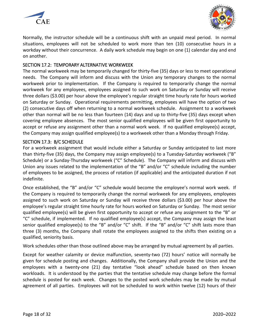



Normally, the instructor schedule will be a continuous shift with an unpaid meal period. In normal situations, employees will not be scheduled to work more than ten (10) consecutive hours in a workday without their concurrence. A daily work schedule may begin on one (1) calendar day and end on another.

### <span id="page-17-0"></span>SECTION 17.2: TEMPORARY ALTERNATIVE WORKWEEK

The normal workweek may be temporarily changed for thirty-five (35) days or less to meet operational needs. The Company will inform and discuss with the Union any temporary changes to the normal workweek prior to implementation. If the Company is required to temporarily change the normal workweek for any employees, employees assigned to such work on Saturday or Sunday will receive three dollars (\$3.00) per hour above the employee's regular straight time hourly rate for hours worked on Saturday or Sunday. Operational requirements permitting, employees will have the option of two (2) consecutive days off when returning to a normal workweek schedule. Assignment to a workweek other than normal will be no less than fourteen (14) days and up to thirty-five (35) days except when covering employee absences. The most senior qualified employees will be given first opportunity to accept or refuse any assignment other than a normal work week. If no qualified employee(s) accept, the Company may assign qualified employee(s) to a workweek other than a Monday through Friday.

### <span id="page-17-1"></span>SECTION 17.3: B/C SCHEDULE

For a workweek assignment that would include either a Saturday or Sunday anticipated to last more than thirty-five (35) days, the Company may assign employee(s) to a Tuesday-Saturday workweek ("B" Schedule) or a Sunday-Thursday workweek ("C" Schedule). The Company will inform and discuss with Union any issues related to the implementation of the "B" and/or "C" schedule including the number of employees to be assigned, the process of rotation (if applicable) and the anticipated duration if not indefinite.

Once established, the "B" and/or "C" schedule would become the employee's normal work week. If the Company is required to temporarily change the normal workweek for any employees, employees assigned to such work on Saturday or Sunday will receive three dollars (\$3.00) per hour above the employee's regular straight time hourly rate for hours worked on Saturday or Sunday. The most senior qualified employee(s) will be given first opportunity to accept or refuse any assignment to the "B" or "C" schedule, if implemented. If no qualified employee(s) accept, the Company may assign the least senior qualified employee(s) to the "B" and/or "C" shift. If the "B" and/or "C" shift lasts more than three (3) months, the Company shall rotate the employees assigned to the shifts then existing on a qualified, seniority basis.

Work schedules other than those outlined above may be arranged by mutual agreement by all parties.

Except for weather calamity or device malfunction, seventy-two (72) hours' notice will normally be given for schedule posting and changes. Additionally, the Company shall provide the Union and the employees with a twenty-one (21) day tentative "look ahead" schedule based on then known workloads. It is understood by the parties that the tentative schedule may change before the formal schedule is posted for each week. Changes to the posted work schedules may be made by mutual agreement of all parties. Employees will not be scheduled to work within twelve (12) hours of their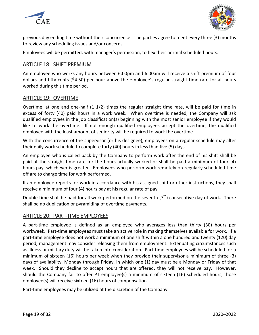



previous day ending time without their concurrence. The parties agree to meet every three (3) months to review any scheduling issues and/or concerns.

Employees will be permitted, with manager's permission, to flex their normal scheduled hours.

## <span id="page-18-0"></span>ARTICLE 18: SHIFT PREMIUM

An employee who works any hours between 6:00pm and 6:00am will receive a shift premium of four dollars and fifty cents (\$4.50) per hour above the employee's regular straight time rate for all hours worked during this time period.

## <span id="page-18-1"></span>ARTICLE 19: OVERTIME

Overtime, at one and one-half (1 1/2) times the regular straight time rate, will be paid for time in excess of forty (40) paid hours in a work week. When overtime is needed, the Company will ask qualified employees in the job classification(s) beginning with the most senior employee if they would like to work the overtime. If not enough qualified employees accept the overtime, the qualified employee with the least amount of seniority will be required to work the overtime.

With the concurrence of the supervisor (or his designee), employees on a regular schedule may alter their daily work schedule to complete forty (40) hours in less than five (5) days.

An employee who is called back by the Company to perform work after the end of his shift shall be paid at the straight time rate for the hours actually worked or shall be paid a minimum of four (4) hours pay, whichever is greater. Employees who perform work remotely on regularly scheduled time off are to charge time for work performed.

If an employee reports for work in accordance with his assigned shift or other instructions, they shall receive a minimum of four (4) hours pay at his regular rate of pay.

Double-time shall be paid for all work performed on the seventh  $(7<sup>th</sup>)$  consecutive day of work. There shall be no duplication or pyramiding of overtime payments.

## <span id="page-18-2"></span>ARTICLE 20: PART-TIME EMPLOYEES

A part-time employee is defined as an employee who averages less than thirty (30) hours per workweek. Part-time employees must take an active role in making themselves available for work. If a part-time employee does not work a minimum of one shift within a one hundred and twenty (120) day period, management may consider releasing them from employment. Extenuating circumstances such as illness or military duty will be taken into consideration. Part-time employees will be scheduled for a minimum of sixteen (16) hours per week when they provide their supervisor a minimum of three (3) days of availability, Monday through Friday, in which one (1) day must be a Monday or Friday of that week. Should they decline to accept hours that are offered, they will not receive pay. However, should the Company fail to offer PT employee(s) a minimum of sixteen (16) scheduled hours, those employee(s) will receive sixteen (16) hours of compensation.

Part-time employees may be utilized at the discretion of the Company.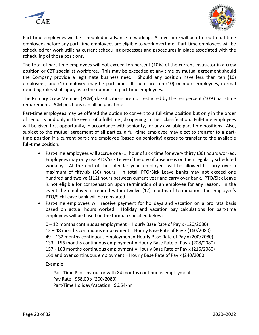



Part-time employees will be scheduled in advance of working. All overtime will be offered to full-time employees before any part-time employees are eligible to work overtime. Part-time employees will be scheduled for work utilizing current scheduling processes and procedures in place associated with the scheduling of those positions.

The total of part-time employees will not exceed ten percent (10%) of the current instructor in a crew position or CBT specialist workforce. This may be exceeded at any time by mutual agreement should the Company provide a legitimate business need. Should any position have less than ten (10) employees, one (1) employee may be part-time. If there are ten (10) or more employees, normal rounding rules shall apply as to the number of part-time employees.

The Primary Crew Member (PCM) classifications are not restricted by the ten percent (10%) part-time requirement. PCM positions can all be part-time.

Part-time employees may be offered the option to convert to a full-time position but only in the order of seniority and only in the event of a full-time job opening in their classification. Full-time employees will be given first opportunity, in accordance with seniority, for any available part-time positions. Also, subject to the mutual agreement of all parties, a full-time employee may elect to transfer to a parttime position if a current part-time employee (based on seniority) agrees to transfer to the available full-time position.

- Part-time employees will accrue one (1) hour of sick time for every thirty (30) hours worked. Employees may only use PTO/Sick Leave if the day of absence is on their regularly scheduled workday. At the end of the calendar year, employees will be allowed to carry over a maximum of fifty-six (56) hours. In total, PTO/Sick Leave banks may not exceed one hundred and twelve (112) hours between current year and carry over bank. PTO/Sick Leave is not eligible for compensation upon termination of an employee for any reason. In the event the employee is rehired within twelve (12) months of termination, the employee's PTO/Sick Leave bank will be reinstated.
- Part-time employees will receive payment for holidays and vacation on a pro rata basis based on actual hours worked. Holiday and vacation pay calculations for part-time employees will be based on the formula specified below:

0 – 12 months continuous employment = Hourly Base Rate of Pay x (120/2080) 13 – 48 months continuous employment = Hourly Base Rate of Pay x (160/2080) 49 – 132 months continuous employment = Hourly Base Rate of Pay x (200/2080) 133 - 156 months continuous employment = Hourly Base Rate of Pay x (208/2080) 157 - 168 months continuous employment = Hourly Base Rate of Pay x (216/2080) 169 and over continuous employment = Hourly Base Rate of Pay x (240/2080)

Example:

Part-Time Pilot Instructor with 84 months continuous employment Pay Rate: \$68.00 x (200/2080) Part-Time Holiday/Vacation: \$6.54/hr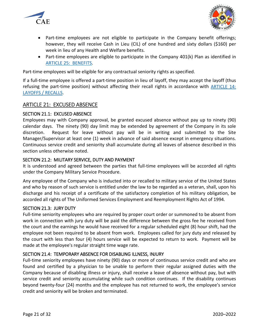



- Part-time employees are not eligible to participate in the Company benefit offerings; however, they will receive Cash in Lieu (CIL) of one hundred and sixty dollars (\$160) per week in lieu of any Health and Welfare benefits.
- Part-time employees are eligible to participate in the Company 401(k) Plan as identified in [ARTICLE 25: BENEFITS.](#page-24-2)

Part-time employees will be eligible for any contractual seniority rights as specified.

If a full-time employee is offered a part-time position in lieu of layoff, they may accept the layoff (thus refusing the part-time position) without affecting their recall rights in accordance with [ARTICLE 14:](#page-15-1)  [LAYOFFS / RECALLS.](#page-15-1)

## <span id="page-20-0"></span>ARTICLE 21: EXCUSED ABSENCE

### <span id="page-20-1"></span>SECTION 21.1: EXCUSED ABSENCE

Employees may with Company approval, be granted excused absence without pay up to ninety (90) calendar days. The ninety (90) day limit may be extended by agreement of the Company in its sole discretion. Request for leave without pay will be in writing and submitted to the Site Manager/Supervisor at least one (1) week in advance of said absence except in emergency situations. Continuous service credit and seniority shall accumulate during all leaves of absence described in this section unless otherwise noted.

### <span id="page-20-2"></span>SECTION 21.2: MILITARY SERVICE, DUTY AND PAYMENT

It is understood and agreed between the parties that full-time employees will be accorded all rights under the Company Military Service Procedure.

Any employee of the Company who is inducted into or recalled to military service of the United States and who by reason of such service is entitled under the law to be regarded as a veteran, shall, upon his discharge and his receipt of a certificate of the satisfactory completion of his military obligation, be accorded all rights of The Uniformed Services Employment and Reemployment Rights Act of 1994.

### <span id="page-20-3"></span>SECTION 21.3: JURY DUTY

Full-time seniority employees who are required by proper court order or summoned to be absent from work in connection with jury duty will be paid the difference between the gross fee he received from the court and the earnings he would have received for a regular scheduled eight (8) hour shift, had the employee not been required to be absent from work. Employees called for jury duty and released by the court with less than four (4) hours service will be expected to return to work. Payment will be made at the employee's regular straight time wage rate.

## <span id="page-20-4"></span>SECTION 21.4: TEMPORARY ABSENCE FOR DISABLING ILLNESS, INJURY

Full-time seniority employees have ninety (90) days or more of continuous service credit and who are found and certified by a physician to be unable to perform their regular assigned duties with the Company because of disabling illness or injury, shall receive a leave of absence without pay, but with service credit and seniority accumulating while such condition continues. If the disability continues beyond twenty-four (24) months and the employee has not returned to work, the employee's service credit and seniority will be broken and terminated.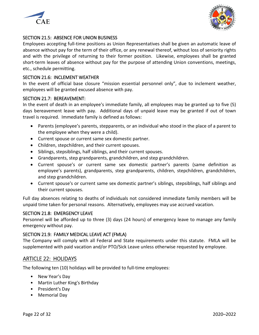



### <span id="page-21-0"></span>SECTION 21.5: ABSENCE FOR UNION BUSINESS

Employees accepting full-time positions as Union Representatives shall be given an automatic leave of absence without pay for the term of their office, or any renewal thereof, without loss of seniority rights and with the privilege of returning to their former position. Likewise, employees shall be granted short-term leaves of absence without pay for the purpose of attending Union conventions, meetings, etc., schedule permitting.

### <span id="page-21-1"></span>SECTION 21.6: INCLEMENT WEATHER

In the event of official base closure "mission essential personnel only", due to inclement weather, employees will be granted excused absence with pay.

### <span id="page-21-2"></span>SECTION 21.7: BEREAVEMENT:

In the event of death in an employee's immediate family, all employees may be granted up to five (5) days bereavement leave with pay. Additional days of unpaid leave may be granted if out of town travel is required. Immediate family is defined as follows:

- Parents (employee's parents, stepparents, or an individual who stood in the place of a parent to the employee when they were a child).
- Current spouse or current same sex domestic partner.
- Children, stepchildren, and their current spouses.
- Siblings, stepsiblings, half siblings, and their current spouses.
- Grandparents, step grandparents, grandchildren, and step grandchildren.
- Current spouse's or current same sex domestic partner's parents (same definition as employee's parents), grandparents, step grandparents, children, stepchildren, grandchildren, and step grandchildren.
- Current spouse's or current same sex domestic partner's siblings, stepsiblings, half siblings and their current spouses.

Full day absences relating to deaths of individuals not considered immediate family members will be unpaid time taken for personal reasons. Alternatively, employees may use accrued vacation.

### <span id="page-21-3"></span>SECTION 21.8: EMERGENCY LEAVE

Personnel will be afforded up to three (3) days (24 hours) of emergency leave to manage any family emergency without pay.

### <span id="page-21-4"></span>SECTION 21.9: FAMILY MEDICAL LEAVE ACT (FMLA)

The Company will comply with all Federal and State requirements under this statute. FMLA will be supplemented with paid vacation and/or PTO/Sick Leave unless otherwise requested by employee.

## <span id="page-21-5"></span>ARTICLE 22: HOLIDAYS

The following ten (10) holidays will be provided to full-time employees:

- New Year's Day
- Martin Luther King's Birthday
- President's Day
- Memorial Day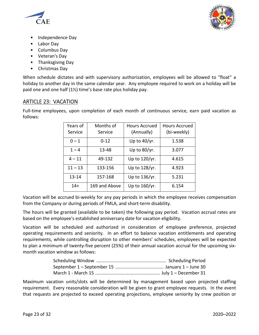



- Independence Day
- Labor Day
- Columbus Day
- Veteran's Day
- Thanksgiving Day
- Christmas Day

When schedule dictates and with supervisory authorization, employees will be allowed to "float" a holiday to another day in the same calendar year. Any employee required to work on a holiday will be paid one and one half (1½) time's base rate plus holiday pay.

## <span id="page-22-0"></span>ARTICLE 23: VACATION

Full-time employees, upon completion of each month of continuous service, earn paid vacation as follows:

| Years of<br>Service | Months of<br>Service | <b>Hours Accrued</b><br>(Annually) | <b>Hours Accrued</b><br>(bi-weekly) |
|---------------------|----------------------|------------------------------------|-------------------------------------|
| $0 - 1$             | $0 - 12$             | Up to $40/yr$ .                    | 1.538                               |
| $1 - 4$             | 13-48                | Up to 80/yr.                       | 3.077                               |
| $4 - 11$            | 49-132               | Up to 120/yr.                      | 4.615                               |
| $11 - 13$           | 133-156              | Up to 128/yr.                      | 4.923                               |
| 13-14               | 157-168              | Up to 136/yr.                      | 5.231                               |
| $14+$               | 169 and Above        | Up to 160/yr.                      | 6.154                               |

Vacation will be accrued bi-weekly for any pay periods in which the employee receives compensation from the Company or during periods of FMLA, and short-term disability.

The hours will be granted (available to be taken) the following pay period. Vacation accrual rates are based on the employee's established anniversary date for vacation eligibility.

Vacation will be scheduled and authorized in consideration of employee preference, projected operating requirements and seniority. In an effort to balance vacation entitlements and operating requirements, while controlling disruption to other members' schedules, employees will be expected to plan a minimum of twenty-five percent (25%) of their annual vacation accrual for the upcoming sixmonth vacation window as follows:

Maximum vacation units/slots will be determined by management based upon projected staffing requirement. Every reasonable consideration will be given to grant employee requests. In the event that requests are projected to exceed operating projections, employee seniority by crew position or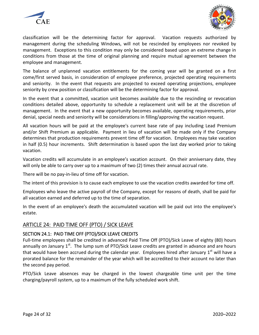



classification will be the determining factor for approval. Vacation requests authorized by management during the scheduling Windows, will not be rescinded by employees nor revoked by management. Exceptions to this condition may only be considered based upon an extreme change in conditions from those at the time of original planning and require mutual agreement between the employee and management.

The balance of unplanned vacation entitlements for the coming year will be granted on a first come/first served basis, in consideration of employee preference, projected operating requirements and seniority. In the event that requests are projected to exceed operating projections, employee seniority by crew position or classification will be the determining factor for approval.

In the event that a committed, vacation unit becomes available due to the rescinding or revocation conditions detailed above, opportunity to schedule a replacement unit will be at the discretion of management. In the event that a new opportunity becomes available, operating requirements, prior denial, special needs and seniority will be considerations in filling/approving the vacation request.

All vacation hours will be paid at the employee's current base rate of pay including Lead Premium and/or Shift Premium as applicable. Payment in lieu of vacation will be made only if the Company determines that production requirements prevent time off for vacation. Employees may take vacation in half (0.5) hour increments. Shift determination is based upon the last day worked prior to taking vacation.

Vacation credits will accumulate in an employee's vacation account. On their anniversary date, they will only be able to carry over up to a maximum of two (2) times their annual accrual rate.

There will be no pay-in-lieu of time off for vacation.

The intent of this provision is to cause each employee to use the vacation credits awarded for time off.

Employees who leave the active payroll of the Company, except for reasons of death, shall be paid for all vacation earned and deferred up to the time of separation.

In the event of an employee's death the accumulated vacation will be paid out into the employee's estate.

## <span id="page-23-0"></span>ARTICLE 24: PAID TIME OFF (PTO) / SICK LEAVE

## <span id="page-23-1"></span>SECTION 24.1: PAID TIME OFF (PTO)/SICK LEAVE CREDITS

Full-time employees shall be credited in advanced Paid Time Off (PTO)/Sick Leave of eighty (80) hours annually on January  $1<sup>st</sup>$ . The lump sum of PTO/Sick Leave credits are granted in advance and are hours that would have been accrued during the calendar year. Employees hired after January  $1^{st}$  will have a prorated balance for the remainder of the year which will be accredited to their account no later than the second pay period.

PTO/Sick Leave absences may be charged in the lowest chargeable time unit per the time charging/payroll system, up to a maximum of the fully scheduled work shift.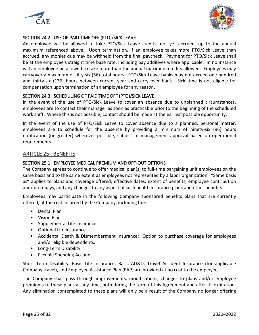



## <span id="page-24-0"></span>SECTION 24.2: USE OF PAID TIME OFF (PTO)/SICK LEAVE

An employee will be allowed to take PTO/Sick Leave credits, not yet accrued, up to the annual maximum referenced above. Upon termination, if an employee takes more PTO/Sick Leave than accrued, any monies due may be withheld from the final paycheck. Payment for PTO/Sick Leave shall be at the employee's straight time base rate, including pay additives where applicable. In no instance will an employee be allowed to take more than the annual maximum credits allowed. Employees may carryover a maximum of fifty-six (56) total hours. PTO/Sick Leave banks may not exceed one hundred and thirty-six (136) hours between current year and carry over bank. Sick time is not eligible for compensation upon termination of an employee for any reason.

### <span id="page-24-1"></span>SECTION 24.3: SCHEDULING OF PAID TIME OFF (PTO)/SICK LEAVE

In the event of the use of PTO/Sick Leave to cover an absence due to unplanned circumstances, employees are to contact their manager as soon as practicable prior to the beginning of the scheduled work shift. Where this is not possible, contact should be made at the earliest possible opportunity.

In the event of the use of PTO/Sick Leave to cover absence due to a planned, personal matter, employees are to schedule for the absence by providing a minimum of ninety-six (96) hours notification (or greater) wherever possible, subject to management approval based on operational requirements.

## <span id="page-24-2"></span>ARTICLE 25: BENEFITS

### <span id="page-24-3"></span>SECTION 25.1: EMPLOYEE MEDICAL PREMIUM AND OPT-OUT OPTIONS

The Company agrees to continue to offer medical plan(s) to full-time bargaining unit employees on the same basis and to the same extent as employees not represented by a labor organization. "Same basis as" applies to plans and coverage offered, effective dates, extent of benefits, employee contribution and/or co-pays, and any changes to any aspect of such health insurance plans and other benefits.

Employees may participate in the following Company sponsored benefits plans that are currently offered, at the cost incurred by the Company, including the:

- Dental Plan
- Vision Plan
- Supplemental Life Insurance
- Optional Life Insurance
- Accidental Death & Dismemberment Insurance: Option to purchase coverage for employees and/or eligible dependents.
- Long-Term Disability
- Flexible Spending Account

Short Term Disability, Basic Life Insurance, Basic AD&D, Travel Accident Insurance (for applicable Company travel), and Employee Assistance Plan (EAP) are provided at no cost to the employee.

The Company shall pass through improvements, modifications, changes to plans and/or employee premiums to these plans at any time, both during the term of this Agreement and after its expiration. Any elimination contemplated to these plans will only be a result of the Company no longer offering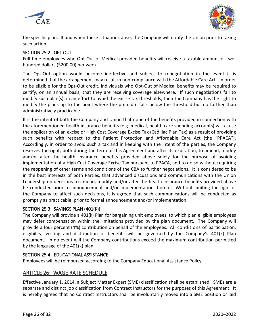



the specific plan. If and when these situations arise, the Company will notify the Union prior to taking such action.

### <span id="page-25-0"></span>SECTION 25.2: OPT OUT

Full-time employees who Opt-Out of Medical provided benefits will receive a taxable amount of twohundred dollars (\$200.00) per week.

The Opt-Out option would become ineffective and subject to renegotiation in the event it is determined that the arrangement may result in non-compliance with the Affordable Care Act. In order to be eligible for the Opt-Out credit, individuals who Opt-Out of Medical benefits may be required to certify, on an annual basis, that they are receiving coverage elsewhere. If such negotiations fail to modify such plan(s), in an effort to avoid the excise tax thresholds, then the Company has the right to modify the plans up to the point where the premium falls below the threshold but no further than administratively practicable.

It is the intent of both the Company and Union that none of the benefits provided in connection with the aforementioned health insurance benefits (e.g. medical, health care spending accounts) will cause the application of an excise or High Cost Coverage Excise Tax (Cadillac Plan Tax) as a result of providing such benefits with respect to the Patient Protection and Affordable Care Act (the "PPACA"). Accordingly, in order to avoid such a tax and in keeping with the intent of the parties, the Company reserves the right, both during the term of this Agreement and after its expiration, to amend, modify and/or alter the health insurance benefits provided above solely for the purpose of avoiding implementation of a High Cost Coverage Excise Tax pursuant to PPACA, and to do so without requiring the reopening of other terms and conditions of the CBA to further negotiations. It is considered to be in the best interests of both Parties, that advanced discussions and communications with the Union Leadership on decisions to amend, modify and/or alter the health insurance benefits provided above be conducted prior to announcement and/or implementation thereof. Without limiting the right of the Company to affect such decisions, it is agreed that such communications will be conducted as promptly as practicable, prior to formal announcement and/or implementation.

### <span id="page-25-1"></span>SECTION 25.3: SAVINGS PLAN (401(K))

The Company will provide a 401(k) Plan for bargaining unit employees, to which plan eligible employees may defer compensation within the limitations provided by the plan document. The Company will provide a four percent (4%) contribution on behalf of the employees. All conditions of participation, eligibility, vesting and distribution of benefits will be governed by the Company's 401(k) Plan document. In no event will the Company contributions exceed the maximum contribution permitted by the language of the 401(k) plan.

### <span id="page-25-2"></span>SECTION 25.4: EDUCATIONAL ASSISTANCE

Employees will be reimbursed according to the Company Educational Assistance Policy.

## <span id="page-25-3"></span>ARTICLE 26: WAGE RATE SCHEDULE

Effective January 1, 2014, a Subject Matter Expert (SME) classification shall be established. SMEs are a separate and distinct job classification from Contract Instructors for the purposes of this Agreement. It is hereby agreed that no Contract Instructors shall be involuntarily moved into a SME position or laid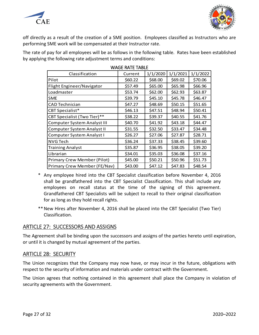



off directly as a result of the creation of a SME position. Employees classified as Instructors who are performing SME work will be compensated at their Instructor rate.

<span id="page-26-0"></span>The rate of pay for all employees will be as follows in the following table. Rates have been established by applying the following rate adjustment terms and conditions:

| WAYLIVAILIADLL                     |         |          |          |          |  |
|------------------------------------|---------|----------|----------|----------|--|
| Classification                     | Current | 1/1/2020 | 1/1/2021 | 1/1/2022 |  |
| Pilot                              | \$60.22 | \$68.00  | \$69.02  | \$70.06  |  |
| Flight Engineer/Navigator          | \$57.49 | \$65.00  | \$65.98  | \$66.96  |  |
| Loadmaster                         | \$53.74 | \$62.00  | \$62.93  | \$63.87  |  |
| <b>SME</b>                         | \$39.79 | \$45.10  | \$45.78  | \$46.47  |  |
| CAD Technician                     | \$47.27 | \$48.69  | \$50.15  | \$51.65  |  |
| CBT Specialist*                    | \$46.13 | \$47.51  | \$48.94  | \$50.41  |  |
| CBT Specialist (Two Tier)**        | \$38.22 | \$39.37  | \$40.55  | \$41.76  |  |
| <b>Computer System Analyst III</b> | \$40.70 | \$41.92  | \$43.18  | \$44.47  |  |
| Computer System Analyst II         | \$31.55 | \$32.50  | \$33.47  | \$34.48  |  |
| <b>Computer System Analyst I</b>   | \$26.27 | \$27.06  | \$27.87  | \$28.71  |  |
| <b>NVG Tech</b>                    | \$36.24 | \$37.33  | \$38.45  | \$39.60  |  |
| <b>Training Analyst</b>            | \$35.87 | \$36.95  | \$38.05  | \$39.20  |  |
| Librarian                          | \$34.01 | \$35.03  | \$36.08  | \$37.16  |  |
| Primary Crew Member (Pilot)        | \$45.00 | \$50.21  | \$50.96  | \$51.73  |  |
| Primary Crew Member (FE/Nav)       | \$43.00 | \$47.12  | \$47.83  | \$48.54  |  |

#### WACE BATE TABLE

- \* Any employee hired into the CBT Specialist classification before November 4, 2016 shall be grandfathered into the CBT Specialist Classification. This shall include any employees on recall status at the time of the signing of this agreement. Grandfathered CBT Specialists will be subject to recall to their original classification for as long as they hold recall rights.
- \*\*New Hires after November 4, 2016 shall be placed into the CBT Specialist (Two Tier) Classification.

## <span id="page-26-1"></span>ARTICLE 27: SUCCESSORS AND ASSIGNS

The Agreement shall be binding upon the successors and assigns of the parties hereto until expiration, or until it is changed by mutual agreement of the parties.

## <span id="page-26-2"></span>ARTICLE 28: SECURITY

The Union recognizes that the Company may now have, or may incur in the future, obligations with respect to the security of information and materials under contract with the Government.

The Union agrees that nothing contained in this agreement shall place the Company in violation of security agreements with the Government.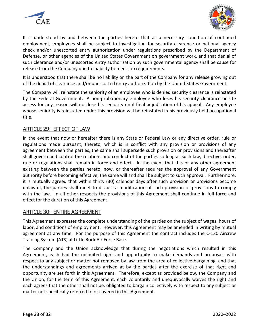



It is understood by and between the parties hereto that as a necessary condition of continued employment, employees shall be subject to investigation for security clearance or national agency check and/or unescorted entry authorization under regulations prescribed by the Department of Defense, or other agencies of the United States Government on government work, and that denial of such clearance and/or unescorted entry authorization by such governmental agency shall be cause for release from the Company due to inability to meet job requirements.

It is understood that there shall be no liability on the part of the Company for any release growing out of the denial of clearance and/or unescorted entry authorization by the United States Government.

The Company will reinstate the seniority of an employee who is denied security clearance is reinstated by the Federal Government. A non-probationary employee who loses his security clearance or site access for any reason will not lose his seniority until final adjudication of his appeal. Any employee whose seniority is reinstated under this provision will be reinstated in his previously held occupational title.

## <span id="page-27-0"></span>ARTICLE 29: EFFECT OF LAW

In the event that now or hereafter there is any State or Federal Law or any directive order, rule or regulations made pursuant, thereto, which is in conflict with any provision or provisions of any agreement between the parties, the same shall supersede such provision or provisions and thereafter shall govern and control the relations and conduct of the parties so long as such law, directive, order, rule or regulations shall remain in force and effect. In the event that this or any other agreement existing between the parties hereto, now, or thereafter requires the approval of any Government authority before becoming effective, the same will and shall be subject to such approval. Furthermore, it is mutually agreed that within thirty (30) calendar days after such provision or provisions become unlawful, the parties shall meet to discuss a modification of such provision or provisions to comply with the law. In all other respects the provisions of this Agreement shall continue in full force and effect for the duration of this Agreement.

## <span id="page-27-1"></span>ARTICLE 30: ENTIRE AGREEMENT

This Agreement expresses the complete understanding of the parties on the subject of wages, hours of labor, and conditions of employment. However, this Agreement may be amended in writing by mutual agreement at any time. For the purpose of this Agreement the contract includes the C-130 Aircrew Training System (ATS) at Little Rock Air Force Base.

The Company and the Union acknowledge that during the negotiations which resulted in this Agreement, each had the unlimited right and opportunity to make demands and proposals with respect to any subject or matter not removed by law from the area of collective bargaining, and that the understandings and agreements arrived at by the parties after the exercise of that right and opportunity are set forth in this Agreement. Therefore, except as provided below, the Company and the Union, for the term of this Agreement, each voluntarily and unequivocally waives the right and each agrees that the other shall not be, obligated to bargain collectively with respect to any subject or matter not specifically referred to or covered in this Agreement.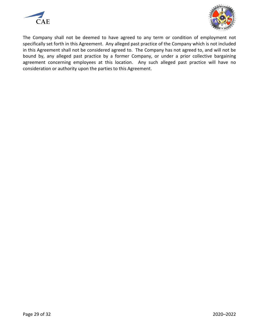



The Company shall not be deemed to have agreed to any term or condition of employment not specifically set forth in this Agreement. Any alleged past practice of the Company which is not included in this Agreement shall not be considered agreed to. The Company has not agreed to, and will not be bound by, any alleged past practice by a former Company, or under a prior collective bargaining agreement concerning employees at this location. Any such alleged past practice will have no consideration or authority upon the parties to this Agreement.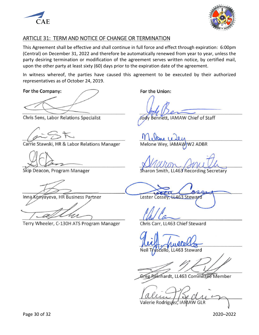



## <span id="page-29-0"></span>ARTICLE 31: TERM AND NOTICE OF CHANGE OR TERMINATION

This Agreement shall be effective and shall continue in full force and effect through expiration: 6:00pm (Central) on December 31, 2022 and therefore be automatically renewed from year to year, unless the party desiring termination or modification of the agreement serves written notice, by certified mail, upon the other party at least sixty (60) days prior to the expiration date of the agreement.

In witness whereof, the parties have caused this agreement to be executed by their authorized representatives as of October 24, 2019.

For the Company:

Chris Sens, Labor Relations Specialist

Carrie Stawski, HR & Labor Relations Manager

Skip Deacon, Program Manager

Inna Konyayeva, HR Business Partner

Terry Wheeler, C-130H ATS Program Manager

For the Union:

Jody Bennett, IAMAW Chief of Staff

Melone Wey, IAMAW W2 ADBR

Sharon Smith, LL463 Recording Secretary

Lester Cossey, LL463 Steward

Chris Carr, LL463 Chief Steward

neigh nullella

 $Z$ 

Greg Reinhardt, LL463 Committee Member

 $Idlum 1200l$ 

Valerie Rodriguez,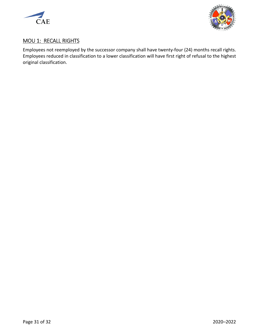



## <span id="page-30-0"></span>MOU 1: RECALL RIGHTS

Employees not reemployed by the successor company shall have twenty-four (24) months recall rights. Employees reduced in classification to a lower classification will have first right of refusal to the highest original classification.